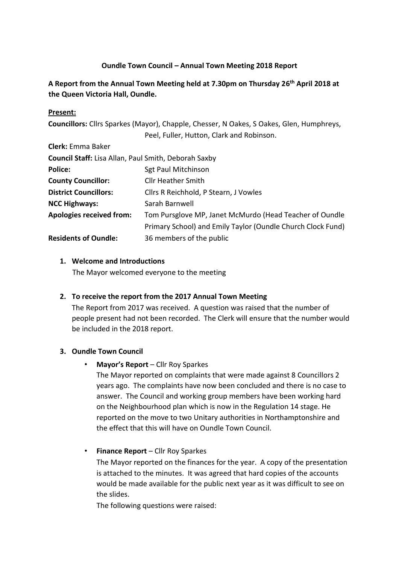## **Oundle Town Council – Annual Town Meeting 2018 Report**

# **A Report from the Annual Town Meeting held at 7.30pm on Thursday 26 th April 2018 at the Queen Victoria Hall, Oundle.**

### **Present:**

**Councillors:** Cllrs Sparkes (Mayor), Chapple, Chesser, N Oakes, S Oakes, Glen, Humphreys, Peel, Fuller, Hutton, Clark and Robinson.

| <b>Clerk:</b> Emma Baker                             |                                                             |
|------------------------------------------------------|-------------------------------------------------------------|
| Council Staff: Lisa Allan, Paul Smith, Deborah Saxby |                                                             |
| <b>Police:</b>                                       | <b>Sgt Paul Mitchinson</b>                                  |
| <b>County Councillor:</b>                            | <b>Cllr Heather Smith</b>                                   |
| <b>District Councillors:</b>                         | Cllrs R Reichhold, P Stearn, J Vowles                       |
| <b>NCC Highways:</b>                                 | Sarah Barnwell                                              |
| <b>Apologies received from:</b>                      | Tom Pursglove MP, Janet McMurdo (Head Teacher of Oundle     |
|                                                      | Primary School) and Emily Taylor (Oundle Church Clock Fund) |
| <b>Residents of Oundle:</b>                          | 36 members of the public                                    |

#### **1. Welcome and Introductions**

The Mayor welcomed everyone to the meeting

#### **2. To receive the report from the 2017 Annual Town Meeting**

The Report from 2017 was received. A question was raised that the number of people present had not been recorded. The Clerk will ensure that the number would be included in the 2018 report.

#### **3. Oundle Town Council**

• **Mayor's Report** – Cllr Roy Sparkes

The Mayor reported on complaints that were made against 8 Councillors 2 years ago. The complaints have now been concluded and there is no case to answer. The Council and working group members have been working hard on the Neighbourhood plan which is now in the Regulation 14 stage. He reported on the move to two Unitary authorities in Northamptonshire and the effect that this will have on Oundle Town Council.

• **Finance Report** – Cllr Roy Sparkes

The Mayor reported on the finances for the year. A copy of the presentation is attached to the minutes. It was agreed that hard copies of the accounts would be made available for the public next year as it was difficult to see on the slides.

The following questions were raised: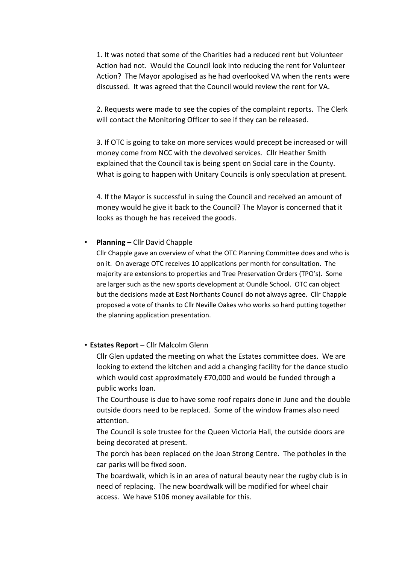1. It was noted that some of the Charities had a reduced rent but Volunteer Action had not. Would the Council look into reducing the rent for Volunteer Action? The Mayor apologised as he had overlooked VA when the rents were discussed. It was agreed that the Council would review the rent for VA.

2. Requests were made to see the copies of the complaint reports. The Clerk will contact the Monitoring Officer to see if they can be released.

3. If OTC is going to take on more services would precept be increased or will money come from NCC with the devolved services. Cllr Heather Smith explained that the Council tax is being spent on Social care in the County. What is going to happen with Unitary Councils is only speculation at present.

4. If the Mayor is successful in suing the Council and received an amount of money would he give it back to the Council? The Mayor is concerned that it looks as though he has received the goods.

#### • **Planning –** Cllr David Chapple

Cllr Chapple gave an overview of what the OTC Planning Committee does and who is on it. On average OTC receives 10 applications per month for consultation. The majority are extensions to properties and Tree Preservation Orders (TPO's). Some are larger such as the new sports development at Oundle School. OTC can object but the decisions made at East Northants Council do not always agree. Cllr Chapple proposed a vote of thanks to Cllr Neville Oakes who works so hard putting together the planning application presentation.

• **Estates Report –** Cllr Malcolm Glenn

Cllr Glen updated the meeting on what the Estates committee does. We are looking to extend the kitchen and add a changing facility for the dance studio which would cost approximately £70,000 and would be funded through a public works loan.

The Courthouse is due to have some roof repairs done in June and the double outside doors need to be replaced. Some of the window frames also need attention.

The Council is sole trustee for the Queen Victoria Hall, the outside doors are being decorated at present.

The porch has been replaced on the Joan Strong Centre. The potholes in the car parks will be fixed soon.

The boardwalk, which is in an area of natural beauty near the rugby club is in need of replacing. The new boardwalk will be modified for wheel chair access. We have S106 money available for this.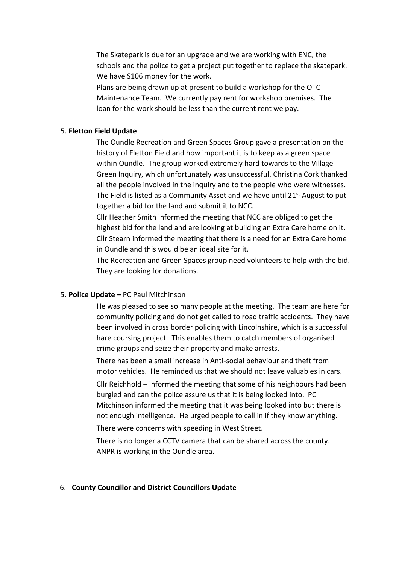The Skatepark is due for an upgrade and we are working with ENC, the schools and the police to get a project put together to replace the skatepark. We have S106 money for the work.

Plans are being drawn up at present to build a workshop for the OTC Maintenance Team. We currently pay rent for workshop premises. The loan for the work should be less than the current rent we pay.

### 5. **Fletton Field Update**

The Oundle Recreation and Green Spaces Group gave a presentation on the history of Fletton Field and how important it is to keep as a green space within Oundle. The group worked extremely hard towards to the Village Green Inquiry, which unfortunately was unsuccessful. Christina Cork thanked all the people involved in the inquiry and to the people who were witnesses. The Field is listed as a Community Asset and we have until  $21^{st}$  August to put together a bid for the land and submit it to NCC.

Cllr Heather Smith informed the meeting that NCC are obliged to get the highest bid for the land and are looking at building an Extra Care home on it. Cllr Stearn informed the meeting that there is a need for an Extra Care home in Oundle and this would be an ideal site for it.

The Recreation and Green Spaces group need volunteers to help with the bid. They are looking for donations.

## 5. **Police Update –** PC Paul Mitchinson

He was pleased to see so many people at the meeting. The team are here for community policing and do not get called to road traffic accidents. They have been involved in cross border policing with Lincolnshire, which is a successful hare coursing project. This enables them to catch members of organised crime groups and seize their property and make arrests.

There has been a small increase in Anti-social behaviour and theft from motor vehicles. He reminded us that we should not leave valuables in cars.

Cllr Reichhold – informed the meeting that some of his neighbours had been burgled and can the police assure us that it is being looked into. PC Mitchinson informed the meeting that it was being looked into but there is not enough intelligence. He urged people to call in if they know anything.

There were concerns with speeding in West Street.

There is no longer a CCTV camera that can be shared across the county. ANPR is working in the Oundle area.

#### 6. **County Councillor and District Councillors Update**